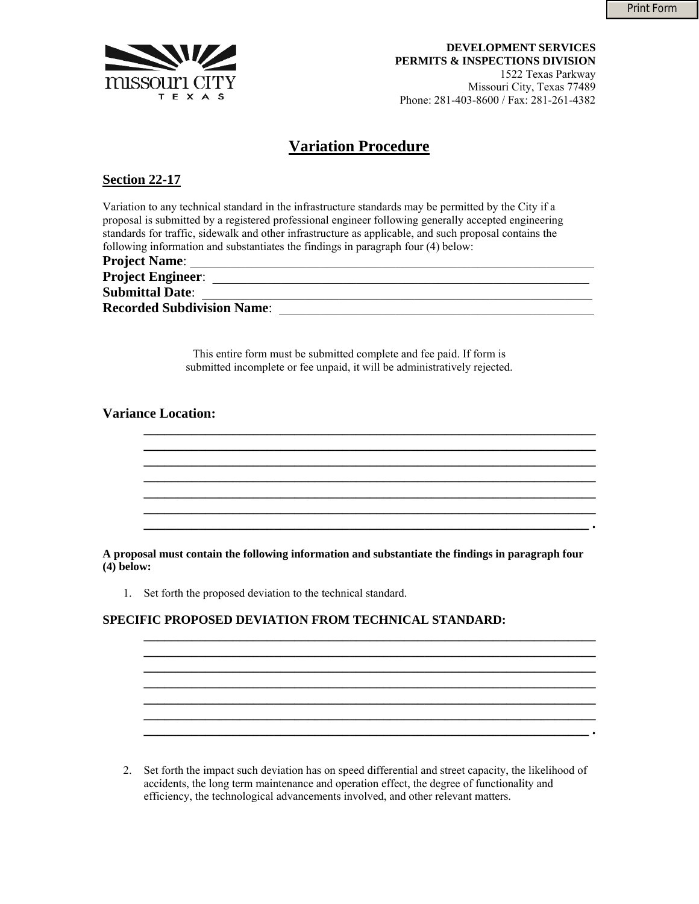

**DEVELOPMENT SERVICES PERMITS & INSPECTIONS DIVISION**  1522 Texas Parkway Missouri City, Texas 77489 Phone: 281-403-8600 / Fax: 281-261-4382

# **Variation Procedure**

### **Section 22-17**

Variation to any technical standard in the infrastructure standards may be permitted by the City if a proposal is submitted by a registered professional engineer following generally accepted engineering standards for traffic, sidewalk and other infrastructure as applicable, and such proposal contains the following information and substantiates the findings in paragraph four (4) below:

| <b>Project Name:</b>              |  |
|-----------------------------------|--|
| <b>Project Engineer:</b>          |  |
| <b>Submittal Date:</b>            |  |
| <b>Recorded Subdivision Name:</b> |  |

This entire form must be submitted complete and fee paid. If form is submitted incomplete or fee unpaid, it will be administratively rejected.

**\_\_\_\_\_\_\_\_\_\_\_\_\_\_\_\_\_\_\_\_\_\_\_\_\_\_\_\_\_\_\_\_\_\_\_\_\_\_\_\_\_\_\_\_\_\_\_\_\_\_\_\_\_\_\_\_\_\_\_\_\_\_\_\_\_\_**

**\_\_\_\_\_\_\_\_\_\_\_\_\_\_\_\_\_\_\_\_\_\_\_\_\_\_\_\_\_\_\_\_\_\_\_\_\_\_\_\_\_\_\_\_\_\_\_\_\_\_\_\_\_\_\_\_\_\_\_\_\_\_\_\_\_\_**

**\_\_\_\_\_\_\_\_\_\_\_\_\_\_\_\_\_\_\_\_\_\_\_\_\_\_\_\_\_\_\_\_\_\_\_\_\_\_\_\_\_\_\_\_\_\_\_\_\_\_\_\_\_\_\_\_\_\_\_\_\_\_\_\_\_\_**

**\_\_\_\_\_\_\_\_\_\_\_\_\_\_\_\_\_\_\_\_\_\_\_\_\_\_\_\_\_\_\_\_\_\_\_\_\_\_\_\_\_\_\_\_\_\_\_\_\_\_\_\_\_\_\_\_\_\_\_\_\_\_\_\_\_\_ \_\_\_\_\_\_\_\_\_\_\_\_\_\_\_\_\_\_\_\_\_\_\_\_\_\_\_\_\_\_\_\_\_\_\_\_\_\_\_\_\_\_\_\_\_\_\_\_\_\_\_\_\_\_\_\_\_\_\_\_\_\_\_\_\_\_**

**\_\_\_\_\_\_\_\_\_\_\_\_\_\_\_\_\_\_\_\_\_\_\_\_\_\_\_\_\_\_\_\_\_\_\_\_\_\_\_\_\_\_\_\_\_\_\_\_\_\_\_\_\_\_\_\_\_\_\_\_\_\_\_\_\_\_ \_\_\_\_\_\_\_\_\_\_\_\_\_\_\_\_\_\_\_\_\_\_\_\_\_\_\_\_\_\_\_\_\_\_\_\_\_\_\_\_\_\_\_\_\_\_\_\_\_\_\_\_\_\_\_\_\_\_\_\_\_\_\_\_\_ .** 

**\_\_\_\_\_\_\_\_\_\_\_\_\_\_\_\_\_\_\_\_\_\_\_\_\_\_\_\_\_\_\_\_\_\_\_\_\_\_\_\_\_\_\_\_\_\_\_\_\_\_\_\_\_\_\_\_\_\_\_\_\_\_\_\_\_\_**

 $\mathcal{L}_\mathcal{L} = \{ \mathcal{L}_\mathcal{L} = \{ \mathcal{L}_\mathcal{L} = \{ \mathcal{L}_\mathcal{L} = \{ \mathcal{L}_\mathcal{L} = \{ \mathcal{L}_\mathcal{L} = \{ \mathcal{L}_\mathcal{L} = \{ \mathcal{L}_\mathcal{L} = \{ \mathcal{L}_\mathcal{L} = \{ \mathcal{L}_\mathcal{L} = \{ \mathcal{L}_\mathcal{L} = \{ \mathcal{L}_\mathcal{L} = \{ \mathcal{L}_\mathcal{L} = \{ \mathcal{L}_\mathcal{L} = \{ \mathcal{L}_\mathcal{$ 

**\_\_\_\_\_\_\_\_\_\_\_\_\_\_\_\_\_\_\_\_\_\_\_\_\_\_\_\_\_\_\_\_\_\_\_\_\_\_\_\_\_\_\_\_\_\_\_\_\_\_\_\_\_\_\_\_\_\_\_\_\_\_\_\_\_\_ \_\_\_\_\_\_\_\_\_\_\_\_\_\_\_\_\_\_\_\_\_\_\_\_\_\_\_\_\_\_\_\_\_\_\_\_\_\_\_\_\_\_\_\_\_\_\_\_\_\_\_\_\_\_\_\_\_\_\_\_\_\_\_\_\_ .** 

#### **Variance Location:**

**A proposal must contain the following information and substantiate the findings in paragraph four (4) below:** 

1. Set forth the proposed deviation to the technical standard.

#### **SPECIFIC PROPOSED DEVIATION FROM TECHNICAL STANDARD:**

2. Set forth the impact such deviation has on speed differential and street capacity, the likelihood of accidents, the long term maintenance and operation effect, the degree of functionality and efficiency, the technological advancements involved, and other relevant matters.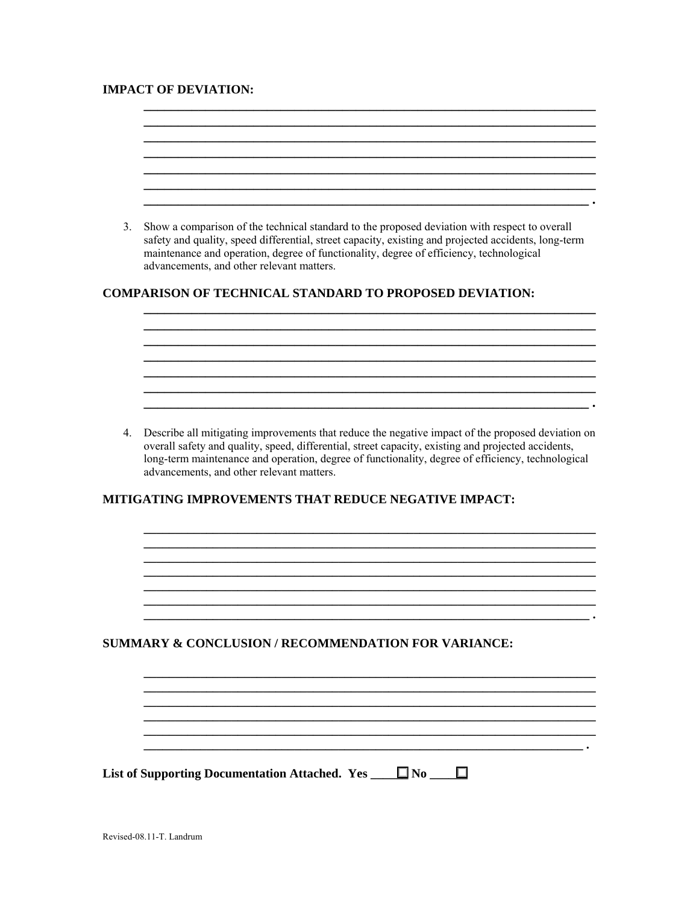## **IMPACT OF DEVIATION:**

 $\overline{a}$ 

| 3. | Show a comparison of the technical standard to the proposed deviation with respect to overall<br>safety and quality, speed differential, street capacity, existing and projected accidents, long-term<br>maintenance and operation, degree of functionality, degree of efficiency, technological<br>advancements, and other relevant matters.              |
|----|------------------------------------------------------------------------------------------------------------------------------------------------------------------------------------------------------------------------------------------------------------------------------------------------------------------------------------------------------------|
|    | <b>COMPARISON OF TECHNICAL STANDARD TO PROPOSED DEVIATION:</b>                                                                                                                                                                                                                                                                                             |
|    |                                                                                                                                                                                                                                                                                                                                                            |
|    |                                                                                                                                                                                                                                                                                                                                                            |
|    |                                                                                                                                                                                                                                                                                                                                                            |
|    |                                                                                                                                                                                                                                                                                                                                                            |
| 4. | Describe all mitigating improvements that reduce the negative impact of the proposed deviation on<br>overall safety and quality, speed, differential, street capacity, existing and projected accidents,<br>long-term maintenance and operation, degree of functionality, degree of efficiency, technological<br>advancements, and other relevant matters. |
|    | <b>MITIGATING IMPROVEMENTS THAT REDUCE NEGATIVE IMPACT:</b>                                                                                                                                                                                                                                                                                                |
|    |                                                                                                                                                                                                                                                                                                                                                            |
|    |                                                                                                                                                                                                                                                                                                                                                            |
|    |                                                                                                                                                                                                                                                                                                                                                            |
|    |                                                                                                                                                                                                                                                                                                                                                            |
|    |                                                                                                                                                                                                                                                                                                                                                            |
|    | <b>SUMMARY &amp; CONCLUSION / RECOMMENDATION FOR VARIANCE:</b>                                                                                                                                                                                                                                                                                             |
|    |                                                                                                                                                                                                                                                                                                                                                            |
|    |                                                                                                                                                                                                                                                                                                                                                            |
|    |                                                                                                                                                                                                                                                                                                                                                            |
|    |                                                                                                                                                                                                                                                                                                                                                            |
|    |                                                                                                                                                                                                                                                                                                                                                            |
|    | List of Supporting Documentation Attached. Yes $\Box$ No $\Box$                                                                                                                                                                                                                                                                                            |
|    |                                                                                                                                                                                                                                                                                                                                                            |